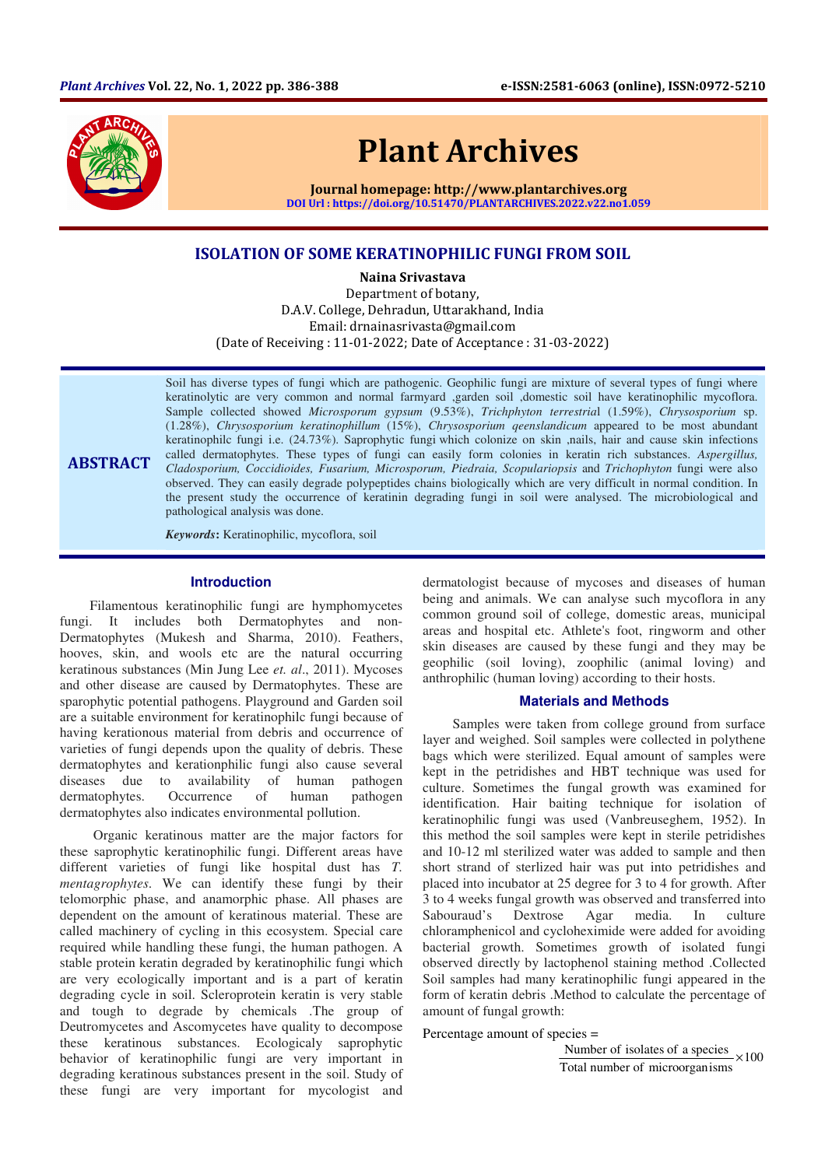

# Plant Archives

Journal homepage: http://www.plantarchives.org DOI Url : https://doi.org/10.51470/PLANTARCHIVES.2022.v22.no1.059

## ISOLATION OF SOME KERATINOPHILIC FUNGI FROM SOIL

Naina Srivastava

Department of botany, D.A.V. College, Dehradun, Uttarakhand, India Email: drnainasrivasta@gmail.com (Date of Receiving : 11-01-2022; Date of Acceptance : 31-03-2022)

ABSTRACT Soil has diverse types of fungi which are pathogenic. Geophilic fungi are mixture of several types of fungi where keratinolytic are very common and normal farmyard ,garden soil ,domestic soil have keratinophilic mycoflora. Sample collected showed *Microsporum gypsum* (9.53%), *Trichphyton terrestria*l (1.59%), *Chrysosporium* sp. (1.28%), *Chrysosporium keratinophillum* (15%), *Chrysosporium qeenslandicum* appeared to be most abundant keratinophilc fungi i.e. (24.73%). Saprophytic fungi which colonize on skin ,nails, hair and cause skin infections called dermatophytes. These types of fungi can easily form colonies in keratin rich substances. *Aspergillus, Cladosporium, Coccidioides, Fusarium, Microsporum, Piedraia, Scopulariopsis* and *Trichophyton* fungi were also observed. They can easily degrade polypeptides chains biologically which are very difficult in normal condition. In the present study the occurrence of keratinin degrading fungi in soil were analysed. The microbiological and pathological analysis was done.

*Keywords***:** Keratinophilic, mycoflora, soil

## **Introduction**

Filamentous keratinophilic fungi are hymphomycetes fungi. It includes both Dermatophytes and non-Dermatophytes (Mukesh and Sharma, 2010). Feathers, hooves, skin, and wools etc are the natural occurring keratinous substances (Min Jung Lee *et. al*., 2011). Mycoses and other disease are caused by Dermatophytes. These are sparophytic potential pathogens. Playground and Garden soil are a suitable environment for keratinophilc fungi because of having kerationous material from debris and occurrence of varieties of fungi depends upon the quality of debris. These dermatophytes and kerationphilic fungi also cause several diseases due to availability of human pathogen dermatophytes. Occurrence of human pathogen dermatophytes also indicates environmental pollution.

 Organic keratinous matter are the major factors for these saprophytic keratinophilic fungi. Different areas have different varieties of fungi like hospital dust has *T. mentagrophytes*. We can identify these fungi by their telomorphic phase, and anamorphic phase. All phases are dependent on the amount of keratinous material. These are called machinery of cycling in this ecosystem. Special care required while handling these fungi, the human pathogen. A stable protein keratin degraded by keratinophilic fungi which are very ecologically important and is a part of keratin degrading cycle in soil. Scleroprotein keratin is very stable and tough to degrade by chemicals .The group of Deutromycetes and Ascomycetes have quality to decompose these keratinous substances. Ecologicaly saprophytic behavior of keratinophilic fungi are very important in degrading keratinous substances present in the soil. Study of these fungi are very important for mycologist and

dermatologist because of mycoses and diseases of human being and animals. We can analyse such mycoflora in any common ground soil of college, domestic areas, municipal areas and hospital etc. Athlete's foot, ringworm and other skin diseases are caused by these fungi and they may be geophilic (soil loving), zoophilic (animal loving) and anthrophilic (human loving) according to their hosts.

## **Materials and Methods**

Samples were taken from college ground from surface layer and weighed. Soil samples were collected in polythene bags which were sterilized. Equal amount of samples were kept in the petridishes and HBT technique was used for culture. Sometimes the fungal growth was examined for identification. Hair baiting technique for isolation of keratinophilic fungi was used (Vanbreuseghem, 1952). In this method the soil samples were kept in sterile petridishes and 10-12 ml sterilized water was added to sample and then short strand of sterlized hair was put into petridishes and placed into incubator at 25 degree for 3 to 4 for growth. After 3 to 4 weeks fungal growth was observed and transferred into Sabouraud's Dextrose Agar media. In culture chloramphenicol and cycloheximide were added for avoiding bacterial growth. Sometimes growth of isolated fungi observed directly by lactophenol staining method .Collected Soil samples had many keratinophilic fungi appeared in the form of keratin debris .Method to calculate the percentage of amount of fungal growth:

#### Percentage amount of species =

Number of isolates of a species  $\times 100$ Total number of microorganisms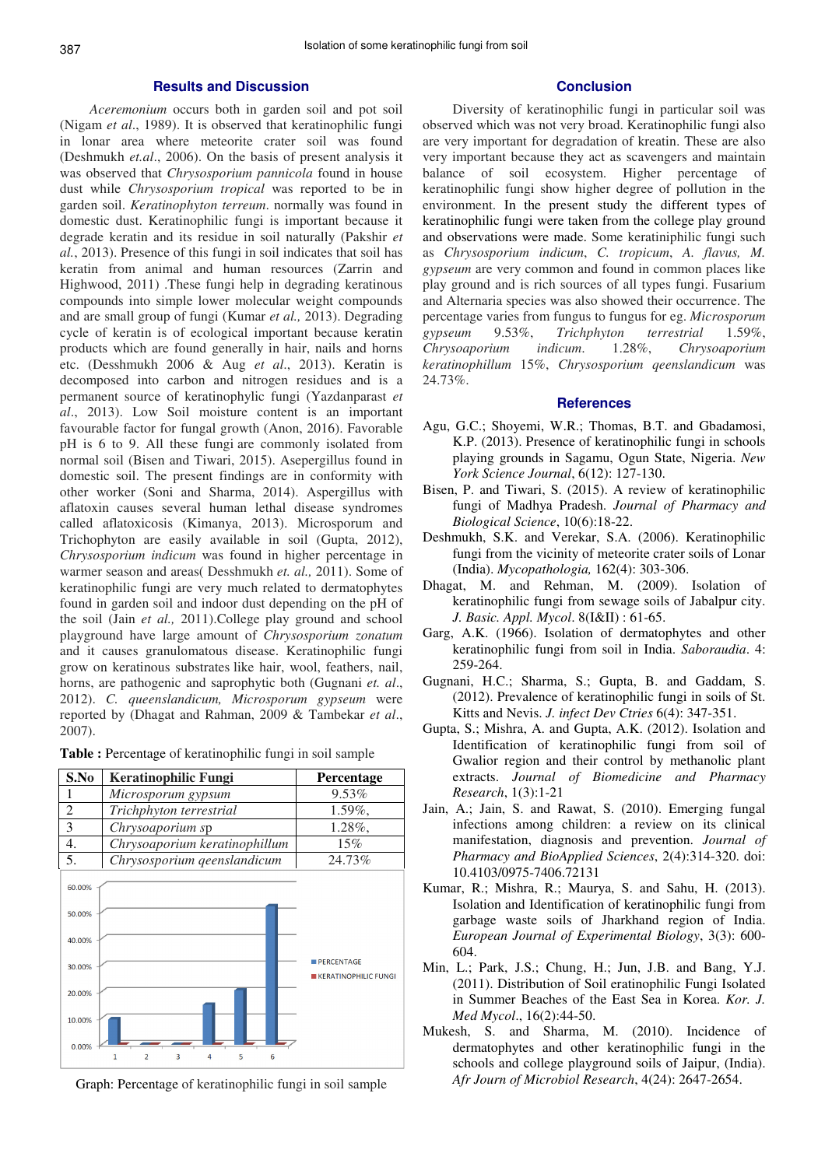## **Results and Discussion**

*Aceremonium* occurs both in garden soil and pot soil (Nigam *et al*., 1989). It is observed that keratinophilic fungi in lonar area where meteorite crater soil was found (Deshmukh *et.al*., 2006). On the basis of present analysis it was observed that *Chrysosporium pannicola* found in house dust while *Chrysosporium tropical* was reported to be in garden soil. *Keratinophyton terreum*. normally was found in domestic dust. Keratinophilic fungi is important because it degrade keratin and its residue in soil naturally (Pakshir *et al.*, 2013). Presence of this fungi in soil indicates that soil has keratin from animal and human resources (Zarrin and Highwood, 2011) .These fungi help in degrading keratinous compounds into simple lower molecular weight compounds and are small group of fungi (Kumar *et al.,* 2013). Degrading cycle of keratin is of ecological important because keratin products which are found generally in hair, nails and horns etc. (Desshmukh 2006 & Aug *et al*., 2013). Keratin is decomposed into carbon and nitrogen residues and is a permanent source of keratinophylic fungi (Yazdanparast *et al*., 2013). Low Soil moisture content is an important favourable factor for fungal growth (Anon, 2016). Favorable pH is 6 to 9. All these fungi are commonly isolated from normal soil (Bisen and Tiwari, 2015). Asepergillus found in domestic soil. The present findings are in conformity with other worker (Soni and Sharma, 2014). Aspergillus with aflatoxin causes several human lethal disease syndromes called aflatoxicosis (Kimanya, 2013). Microsporum and Trichophyton are easily available in soil (Gupta, 2012), *Chrysosporium indicum* was found in higher percentage in warmer season and areas( Desshmukh *et. al.,* 2011). Some of keratinophilic fungi are very much related to dermatophytes found in garden soil and indoor dust depending on the pH of the soil (Jain *et al.,* 2011).College play ground and school playground have large amount of *Chrysosporium zonatum* and it causes granulomatous disease. Keratinophilic fungi grow on keratinous substrates like hair, wool, feathers, nail, horns, are pathogenic and saprophytic both (Gugnani *et. al*., 2012). *C. queenslandicum, Microsporum gypseum* were reported by (Dhagat and Rahman, 2009 & Tambekar *et al*., 2007).

| S.No                                                              | <b>Keratinophilic Fungi</b>   | <b>Percentage</b>                                |
|-------------------------------------------------------------------|-------------------------------|--------------------------------------------------|
|                                                                   | Microsporum gypsum            | 9.53%                                            |
| $\overline{c}$                                                    | Trichphyton terrestrial       | $1.59\%$ ,                                       |
| $\overline{3}$                                                    | Chrysoaporium sp              | $1.28\%$ ,                                       |
| 4.                                                                | Chrysoaporium keratinophillum | 15%                                              |
| 5.                                                                | Chrysosporium qeenslandicum   | 24.73%                                           |
| 60.00%<br>50.00%<br>40.00%<br>30.00%<br>20.00%<br>10.00%<br>0.00% | 3<br>5<br>6<br>1<br>2<br>4    | <b>PERCENTAGE</b><br><b>KERATINOPHILIC FUNGI</b> |

**Table :** Percentage of keratinophilic fungi in soil sample

Graph: Percentage of keratinophilic fungi in soil sample

## **Conclusion**

Diversity of keratinophilic fungi in particular soil was observed which was not very broad. Keratinophilic fungi also are very important for degradation of kreatin. These are also very important because they act as scavengers and maintain balance of soil ecosystem. Higher percentage of keratinophilic fungi show higher degree of pollution in the environment. In the present study the different types of keratinophilic fungi were taken from the college play ground and observations were made. Some keratiniphilic fungi such as *Chrysosporium indicum*, *C. tropicum*, *A. flavus, M. gypseum* are very common and found in common places like play ground and is rich sources of all types fungi. Fusarium and Alternaria species was also showed their occurrence. The percentage varies from fungus to fungus for eg. *Microsporum gypseum* 9.53%, *Trichphyton terrestrial* 1.59%, *Chrysoaporium indicum*. 1.28%, *Chrysoaporium keratinophillum* 15%, *Chrysosporium qeenslandicum* was 24.73%.

#### **References**

- Agu, G.C.; Shoyemi, W.R.; Thomas, B.T. and Gbadamosi, K.P. (2013). Presence of keratinophilic fungi in schools playing grounds in Sagamu, Ogun State, Nigeria. *New York Science Journal*, 6(12): 127-130.
- Bisen, P. and Tiwari, S. (2015). A review of keratinophilic fungi of Madhya Pradesh. *Journal of Pharmacy and Biological Science*, 10(6):18-22.
- Deshmukh, S.K. and Verekar, S.A. (2006). Keratinophilic fungi from the vicinity of meteorite crater soils of Lonar (India). *Mycopathologia,* 162(4): 303-306.
- Dhagat, M. and Rehman, M. (2009). Isolation of keratinophilic fungi from sewage soils of Jabalpur city. *J. Basic. Appl. Mycol*. 8(I&II) : 61-65.
- Garg, A.K. (1966). Isolation of dermatophytes and other keratinophilic fungi from soil in India. *Saboraudia*. 4: 259-264.
- Gugnani, H.C.; Sharma, S.; Gupta, B. and Gaddam, S. (2012). Prevalence of keratinophilic fungi in soils of St. Kitts and Nevis. *J. infect Dev Ctries* 6(4): 347-351.
- Gupta, S.; Mishra, A. and Gupta, A.K. (2012). Isolation and Identification of keratinophilic fungi from soil of Gwalior region and their control by methanolic plant extracts. *Journal of Biomedicine and Pharmacy Research*, 1(3):1-21
- Jain, A.; Jain, S. and Rawat, S. (2010). Emerging fungal infections among children: a review on its clinical manifestation, diagnosis and prevention. *Journal of Pharmacy and BioApplied Sciences*, 2(4):314-320. doi: 10.4103/0975-7406.72131
- Kumar, R.; Mishra, R.; Maurya, S. and Sahu, H. (2013). Isolation and Identification of keratinophilic fungi from garbage waste soils of Jharkhand region of India. *European Journal of Experimental Biology*, 3(3): 600- 604.
- Min, L.; Park, J.S.; Chung, H.; Jun, J.B. and Bang, Y.J. (2011). Distribution of Soil eratinophilic Fungi Isolated in Summer Beaches of the East Sea in Korea. *Kor. J. Med Mycol*., 16(2):44-50.
- Mukesh, S. and Sharma, M. (2010). Incidence of dermatophytes and other keratinophilic fungi in the schools and college playground soils of Jaipur, (India). *Afr Journ of Microbiol Research*, 4(24): 2647-2654.

 $\Gamma$